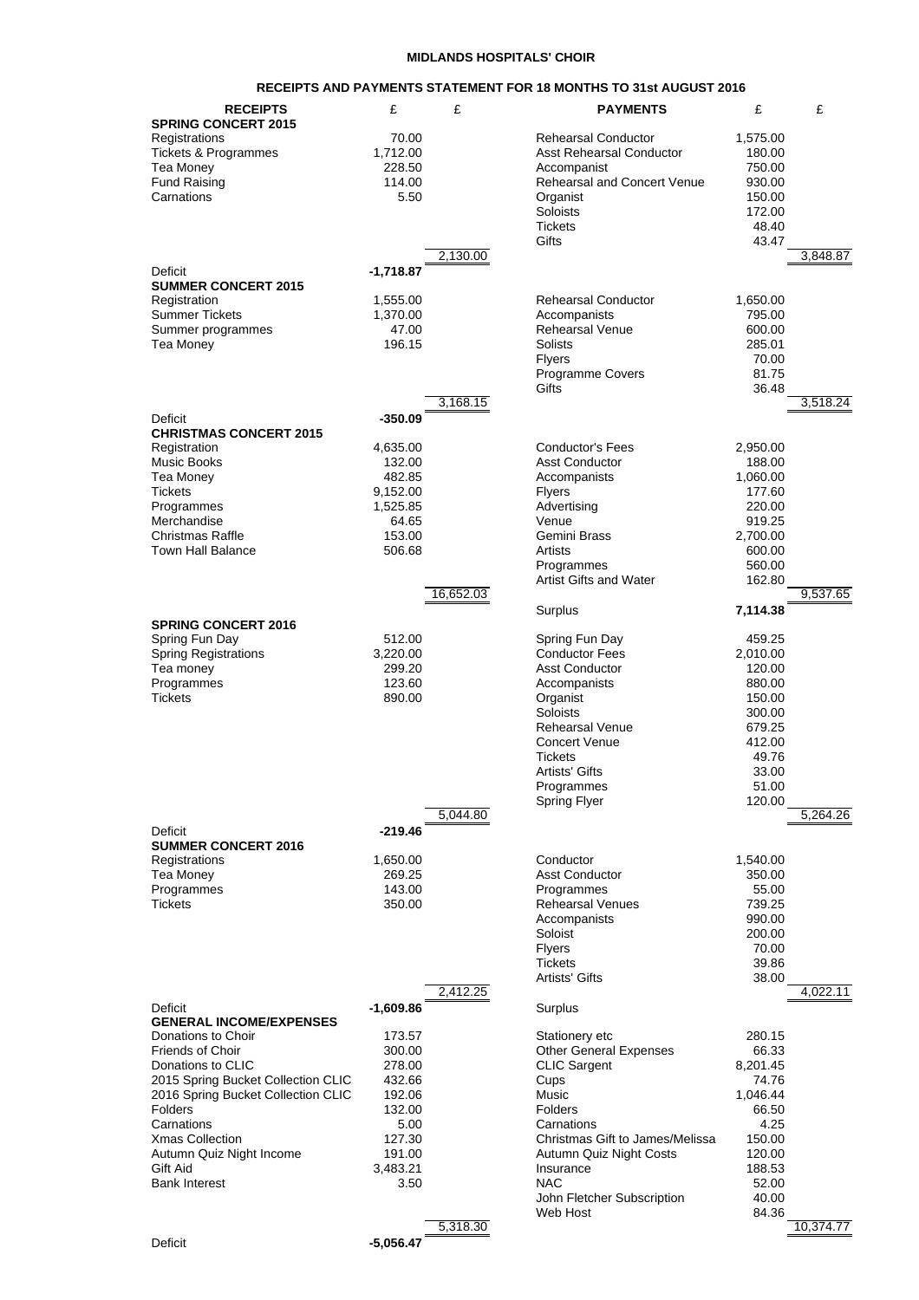## **MIDLANDS HOSPITALS' CHOIR**

## **RECEIPTS AND PAYMENTS STATEMENT FOR 18 MONTHS TO 31st AUGUST 2016**

| <b>RECEIPTS</b>                                      | £                  | £         | <b>PAYMENTS</b>                                   | £                  | £         |
|------------------------------------------------------|--------------------|-----------|---------------------------------------------------|--------------------|-----------|
| <b>SPRING CONCERT 2015</b>                           |                    |           |                                                   |                    |           |
| Registrations                                        | 70.00              |           | <b>Rehearsal Conductor</b>                        | 1,575.00           |           |
| <b>Tickets &amp; Programmes</b>                      | 1,712.00           |           | <b>Asst Rehearsal Conductor</b>                   | 180.00             |           |
| Tea Money<br><b>Fund Raising</b>                     | 228.50<br>114.00   |           | Accompanist<br><b>Rehearsal and Concert Venue</b> | 750.00<br>930.00   |           |
| Carnations                                           | 5.50               |           | Organist                                          | 150.00             |           |
|                                                      |                    |           | Soloists                                          | 172.00             |           |
|                                                      |                    |           | <b>Tickets</b>                                    | 48.40              |           |
|                                                      |                    |           | Gifts                                             | 43.47              |           |
|                                                      |                    | 2,130.00  |                                                   |                    | 3,848.87  |
| Deficit                                              | -1,718.87          |           |                                                   |                    |           |
| <b>SUMMER CONCERT 2015</b><br>Registration           | 1,555.00           |           | <b>Rehearsal Conductor</b>                        | 1,650.00           |           |
| Summer Tickets                                       | 1,370.00           |           | Accompanists                                      | 795.00             |           |
| Summer programmes                                    | 47.00              |           | <b>Rehearsal Venue</b>                            | 600.00             |           |
| Tea Money                                            | 196.15             |           | <b>Solists</b>                                    | 285.01             |           |
|                                                      |                    |           | <b>Flyers</b>                                     | 70.00              |           |
|                                                      |                    |           | Programme Covers                                  | 81.75              |           |
|                                                      |                    |           | Gifts                                             | 36.48              |           |
|                                                      |                    | 3,168.15  |                                                   |                    | 3.518.24  |
| Deficit<br><b>CHRISTMAS CONCERT 2015</b>             | -350.09            |           |                                                   |                    |           |
| Registration                                         | 4,635.00           |           | <b>Conductor's Fees</b>                           | 2,950.00           |           |
| <b>Music Books</b>                                   | 132.00             |           | <b>Asst Conductor</b>                             | 188.00             |           |
| Tea Money                                            | 482.85             |           | Accompanists                                      | 1,060.00           |           |
| <b>Tickets</b>                                       | 9,152.00           |           | Flyers                                            | 177.60             |           |
| Programmes                                           | 1,525.85           |           | Advertising                                       | 220.00             |           |
| Merchandise                                          | 64.65              |           | Venue                                             | 919.25             |           |
| <b>Christmas Raffle</b><br>Town Hall Balance         | 153.00<br>506.68   |           | Gemini Brass<br>Artists                           | 2,700.00<br>600.00 |           |
|                                                      |                    |           | Programmes                                        | 560.00             |           |
|                                                      |                    |           | <b>Artist Gifts and Water</b>                     | 162.80             |           |
|                                                      |                    | 16,652.03 |                                                   |                    | 9,537.65  |
|                                                      |                    |           | Surplus                                           | 7,114.38           |           |
| <b>SPRING CONCERT 2016</b>                           |                    |           |                                                   |                    |           |
| Spring Fun Day                                       | 512.00             |           | Spring Fun Day                                    | 459.25             |           |
| <b>Spring Registrations</b><br>Tea money             | 3,220.00<br>299.20 |           | <b>Conductor Fees</b><br><b>Asst Conductor</b>    | 2,010.00<br>120.00 |           |
| Programmes                                           | 123.60             |           | Accompanists                                      | 880.00             |           |
| Tickets                                              | 890.00             |           | Organist                                          | 150.00             |           |
|                                                      |                    |           | Soloists                                          | 300.00             |           |
|                                                      |                    |           | <b>Rehearsal Venue</b>                            | 679.25             |           |
|                                                      |                    |           | <b>Concert Venue</b>                              | 412.00             |           |
|                                                      |                    |           | <b>Tickets</b>                                    | 49.76              |           |
|                                                      |                    |           | <b>Artists' Gifts</b><br>Programmes               | 33.00<br>51.00     |           |
|                                                      |                    |           | <b>Spring Flyer</b>                               | 120.00             |           |
|                                                      |                    | 5,044.80  |                                                   |                    | 5,264.26  |
| Deficit                                              | -219.46            |           |                                                   |                    |           |
| <b>SUMMER CONCERT 2016</b>                           |                    |           |                                                   |                    |           |
| Registrations                                        | 1,650.00           |           | Conductor                                         | 1,540.00           |           |
| Tea Money                                            | 269.25             |           | <b>Asst Conductor</b>                             | 350.00             |           |
| Programmes<br>Tickets                                | 143.00<br>350.00   |           | Programmes<br><b>Rehearsal Venues</b>             | 55.00<br>739.25    |           |
|                                                      |                    |           | Accompanists                                      | 990.00             |           |
|                                                      |                    |           | Soloist                                           | 200.00             |           |
|                                                      |                    |           | Flyers                                            | 70.00              |           |
|                                                      |                    |           | <b>Tickets</b>                                    | 39.86              |           |
|                                                      |                    |           | <b>Artists' Gifts</b>                             | 38.00              | 4,022.11  |
| Deficit                                              | $-1,609.86$        | 2,412.25  | Surplus                                           |                    |           |
| <b>GENERAL INCOME/EXPENSES</b>                       |                    |           |                                                   |                    |           |
| Donations to Choir                                   | 173.57             |           | Stationery etc                                    | 280.15             |           |
| Friends of Choir                                     | 300.00             |           | <b>Other General Expenses</b>                     | 66.33              |           |
| Donations to CLIC                                    | 278.00             |           | <b>CLIC Sargent</b>                               | 8,201.45           |           |
| 2015 Spring Bucket Collection CLIC                   | 432.66             |           | Cups                                              | 74.76              |           |
| 2016 Spring Bucket Collection CLIC<br><b>Folders</b> | 192.06<br>132.00   |           | Music<br>Folders                                  | 1,046.44<br>66.50  |           |
| Carnations                                           | 5.00               |           | Carnations                                        | 4.25               |           |
| <b>Xmas Collection</b>                               | 127.30             |           | Christmas Gift to James/Melissa                   | 150.00             |           |
| Autumn Quiz Night Income                             | 191.00             |           | Autumn Quiz Night Costs                           | 120.00             |           |
| Gift Aid                                             | 3,483.21           |           | Insurance                                         | 188.53             |           |
| <b>Bank Interest</b>                                 | 3.50               |           | <b>NAC</b>                                        | 52.00              |           |
|                                                      |                    |           | John Fletcher Subscription                        | 40.00              |           |
|                                                      |                    | 5,318.30  | Web Host                                          | 84.36              | 10,374.77 |
| Deficit                                              | $-5,056.47$        |           |                                                   |                    |           |
|                                                      |                    |           |                                                   |                    |           |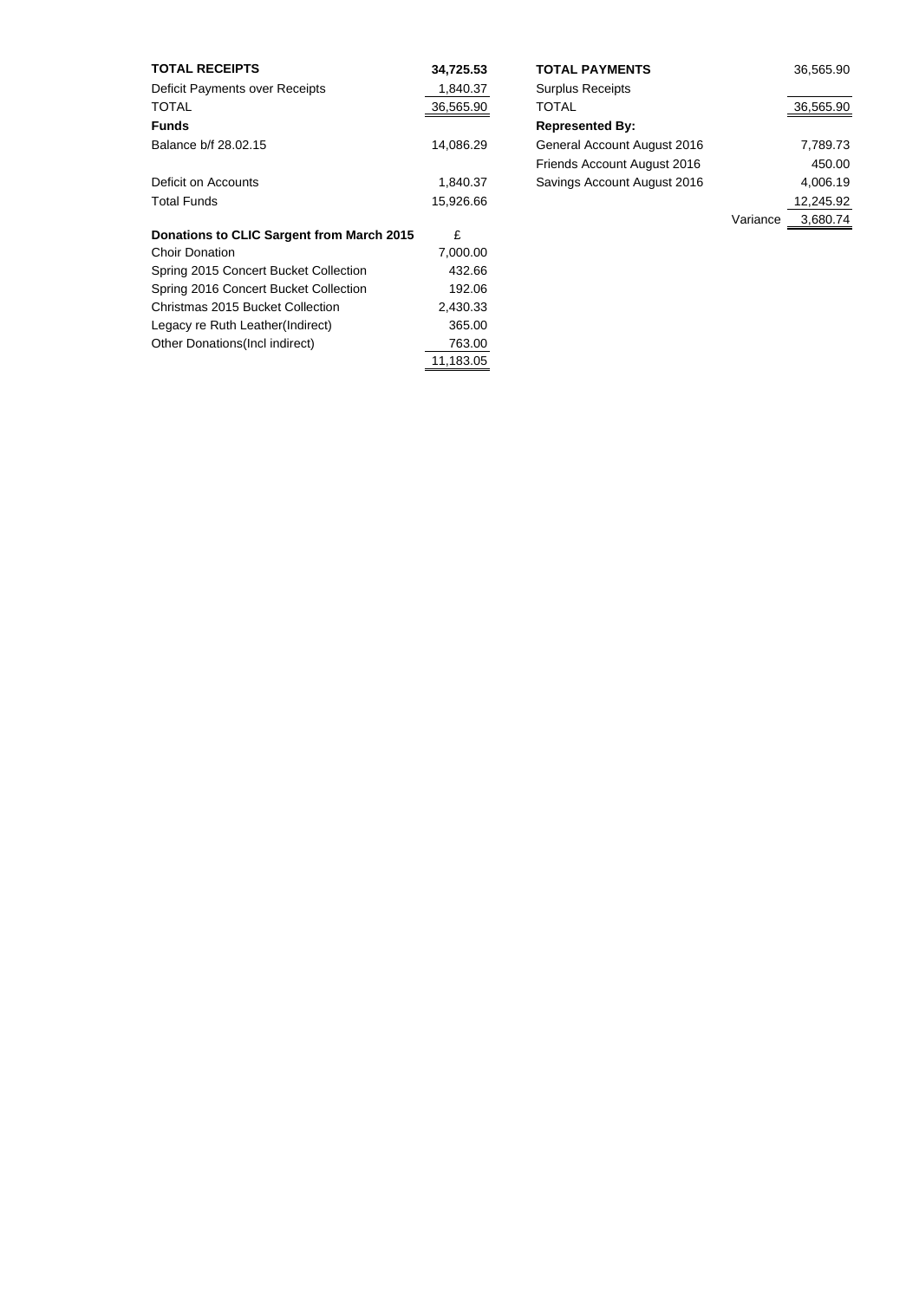| <b>TOTAL RECEIPTS</b>                     | 34,725.53 | <b>TOTAL PAYMENTS</b>       |          | 36,565.90 |
|-------------------------------------------|-----------|-----------------------------|----------|-----------|
| Deficit Payments over Receipts            | 1,840.37  | <b>Surplus Receipts</b>     |          |           |
| <b>TOTAL</b>                              | 36,565.90 | TOTAL                       |          | 36,565.90 |
| <b>Funds</b>                              |           | <b>Represented By:</b>      |          |           |
| Balance b/f 28.02.15                      | 14,086.29 | General Account August 2016 |          | 7,789.73  |
|                                           |           | Friends Account August 2016 |          | 450.00    |
| Deficit on Accounts                       | 1,840.37  | Savings Account August 2016 |          | 4,006.19  |
| <b>Total Funds</b>                        | 15,926.66 |                             |          | 12,245.92 |
|                                           |           |                             | Variance | 3,680.74  |
| Donations to CLIC Sargent from March 2015 | £         |                             |          |           |
| <b>Choir Donation</b>                     | 7,000.00  |                             |          |           |
| Spring 2015 Concert Bucket Collection     | 432.66    |                             |          |           |
| Spring 2016 Concert Bucket Collection     | 192.06    |                             |          |           |
| Christmas 2015 Bucket Collection          | 2,430.33  |                             |          |           |
| Legacy re Ruth Leather(Indirect)          | 365.00    |                             |          |           |
| Other Donations (Incl indirect)           | 763.00    |                             |          |           |
|                                           | 11,183.05 |                             |          |           |

| <b>TOTAL PAYMENTS</b>       |          | 36,565.90 |
|-----------------------------|----------|-----------|
| <b>Surplus Receipts</b>     |          |           |
| TOTAL                       |          | 36,565.90 |
| <b>Represented By:</b>      |          |           |
| General Account August 2016 |          | 7,789.73  |
| Friends Account August 2016 |          | 450.00    |
| Savings Account August 2016 |          | 4,006.19  |
|                             |          | 12,245.92 |
|                             | Variance | 3,680.74  |
|                             |          |           |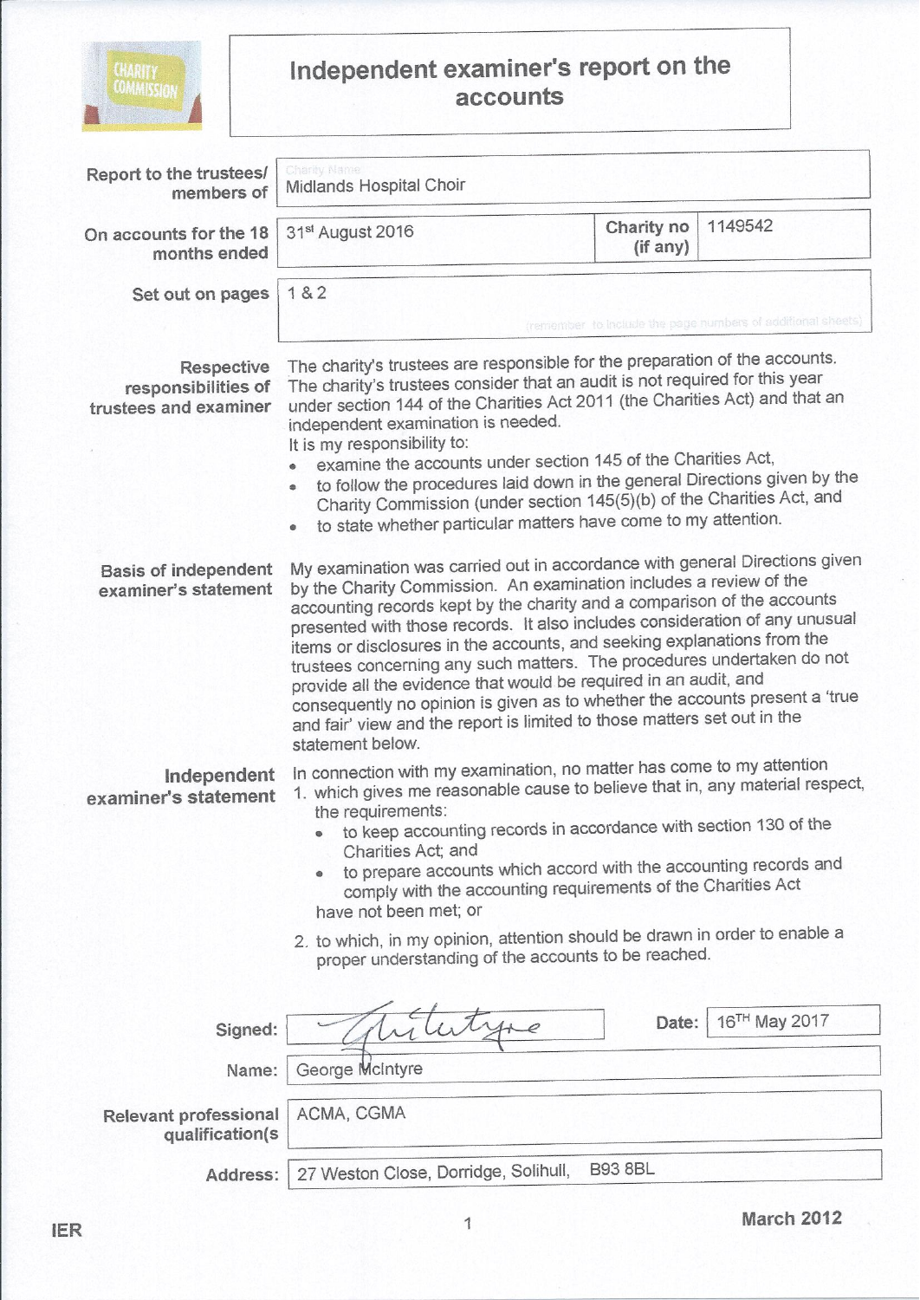

## Independent examiner's report on the<br>accounts

| Report to the trustees/<br>members of                      | Charity Name<br>Midlands Hospital Choir                                                                                                                                                                                                                                                                                                                                                                                                                                                                                                                                                                                                                                                                            |                        |                           |  |  |
|------------------------------------------------------------|--------------------------------------------------------------------------------------------------------------------------------------------------------------------------------------------------------------------------------------------------------------------------------------------------------------------------------------------------------------------------------------------------------------------------------------------------------------------------------------------------------------------------------------------------------------------------------------------------------------------------------------------------------------------------------------------------------------------|------------------------|---------------------------|--|--|
| On accounts for the 18<br>months ended                     | 31st August 2016                                                                                                                                                                                                                                                                                                                                                                                                                                                                                                                                                                                                                                                                                                   | Charity no<br>(if any) | 1149542                   |  |  |
| Set out on pages                                           | 182<br>(remember to include the page numbers of additional sheets)                                                                                                                                                                                                                                                                                                                                                                                                                                                                                                                                                                                                                                                 |                        |                           |  |  |
| Respective<br>responsibilities of<br>trustees and examiner | The charity's trustees are responsible for the preparation of the accounts.<br>The charity's trustees consider that an audit is not required for this year<br>under section 144 of the Charities Act 2011 (the Charities Act) and that an<br>independent examination is needed.<br>It is my responsibility to:<br>examine the accounts under section 145 of the Charities Act,<br>to follow the procedures laid down in the general Directions given by the<br>۰<br>Charity Commission (under section 145(5)(b) of the Charities Act, and<br>to state whether particular matters have come to my attention.<br>$\bullet$                                                                                           |                        |                           |  |  |
| <b>Basis of independent</b><br>examiner's statement        | My examination was carried out in accordance with general Directions given<br>by the Charity Commission. An examination includes a review of the<br>accounting records kept by the charity and a comparison of the accounts<br>presented with those records. It also includes consideration of any unusual<br>items or disclosures in the accounts, and seeking explanations from the<br>trustees concerning any such matters. The procedures undertaken do not<br>provide all the evidence that would be required in an audit, and<br>consequently no opinion is given as to whether the accounts present a 'true<br>and fair' view and the report is limited to those matters set out in the<br>statement below. |                        |                           |  |  |
| Independent<br>examiner's statement                        | In connection with my examination, no matter has come to my attention<br>1. which gives me reasonable cause to believe that in, any material respect,<br>the requirements:<br>to keep accounting records in accordance with section 130 of the<br>Charities Act; and<br>to prepare accounts which accord with the accounting records and<br>۰<br>comply with the accounting requirements of the Charities Act<br>have not been met; or<br>2. to which, in my opinion, attention should be drawn in order to enable a<br>proper understanding of the accounts to be reached.                                                                                                                                        |                        |                           |  |  |
| Signed:                                                    |                                                                                                                                                                                                                                                                                                                                                                                                                                                                                                                                                                                                                                                                                                                    | Date:                  | 16 <sup>TH</sup> May 2017 |  |  |
| Name:                                                      | George McIntyre                                                                                                                                                                                                                                                                                                                                                                                                                                                                                                                                                                                                                                                                                                    |                        |                           |  |  |
| <b>Relevant professional</b><br>qualification(s            | ACMA, CGMA                                                                                                                                                                                                                                                                                                                                                                                                                                                                                                                                                                                                                                                                                                         |                        |                           |  |  |
| Address:                                                   | <b>B93 8BL</b><br>27 Weston Close, Dorridge, Solihull,                                                                                                                                                                                                                                                                                                                                                                                                                                                                                                                                                                                                                                                             |                        |                           |  |  |
|                                                            |                                                                                                                                                                                                                                                                                                                                                                                                                                                                                                                                                                                                                                                                                                                    |                        | <b>March 2012</b>         |  |  |